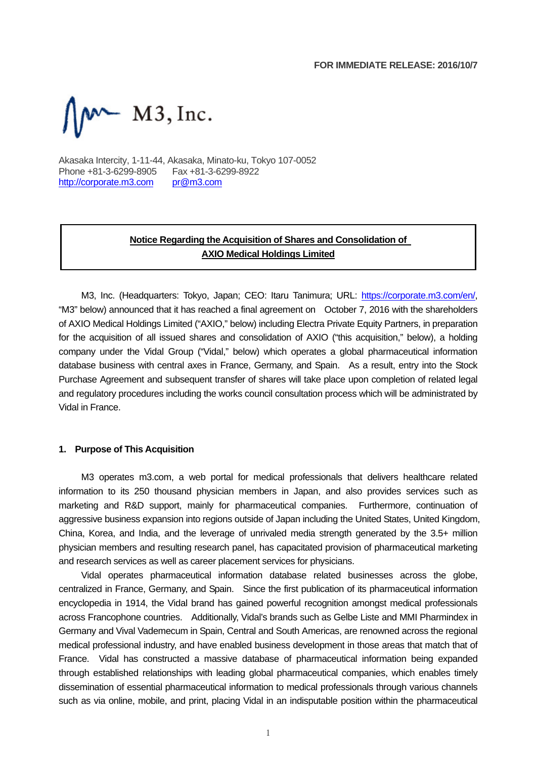

Akasaka Intercity, 1-11-44, Akasaka, Minato-ku, Tokyo 107-0052 Phone +81-3-6299-8905 Fax +81-3-6299-8922 http://corporate.m3.com pr@m3.com

# **Notice Regarding the Acquisition of Shares and Consolidation of AXIO Medical Holdings Limited**

M3, Inc. (Headquarters: Tokyo, Japan; CEO: Itaru Tanimura; URL: https://corporate.m3.com/en/, "M3" below) announced that it has reached a final agreement on October 7, 2016 with the shareholders of AXIO Medical Holdings Limited ("AXIO," below) including Electra Private Equity Partners, in preparation for the acquisition of all issued shares and consolidation of AXIO ("this acquisition," below), a holding company under the Vidal Group ("Vidal," below) which operates a global pharmaceutical information database business with central axes in France, Germany, and Spain. As a result, entry into the Stock Purchase Agreement and subsequent transfer of shares will take place upon completion of related legal and regulatory procedures including the works council consultation process which will be administrated by Vidal in France.

#### **1. Purpose of This Acquisition**

M3 operates m3.com, a web portal for medical professionals that delivers healthcare related information to its 250 thousand physician members in Japan, and also provides services such as marketing and R&D support, mainly for pharmaceutical companies. Furthermore, continuation of aggressive business expansion into regions outside of Japan including the United States, United Kingdom, China, Korea, and India, and the leverage of unrivaled media strength generated by the 3.5+ million physician members and resulting research panel, has capacitated provision of pharmaceutical marketing and research services as well as career placement services for physicians.

Vidal operates pharmaceutical information database related businesses across the globe, centralized in France, Germany, and Spain. Since the first publication of its pharmaceutical information encyclopedia in 1914, the Vidal brand has gained powerful recognition amongst medical professionals across Francophone countries. Additionally, Vidal's brands such as Gelbe Liste and MMI Pharmindex in Germany and Vival Vademecum in Spain, Central and South Americas, are renowned across the regional medical professional industry, and have enabled business development in those areas that match that of France. Vidal has constructed a massive database of pharmaceutical information being expanded through established relationships with leading global pharmaceutical companies, which enables timely dissemination of essential pharmaceutical information to medical professionals through various channels such as via online, mobile, and print, placing Vidal in an indisputable position within the pharmaceutical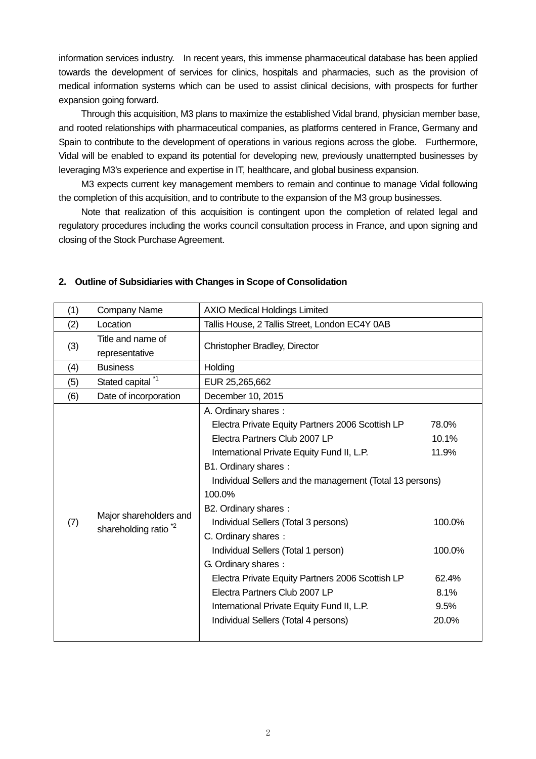information services industry. In recent years, this immense pharmaceutical database has been applied towards the development of services for clinics, hospitals and pharmacies, such as the provision of medical information systems which can be used to assist clinical decisions, with prospects for further expansion going forward.

Through this acquisition, M3 plans to maximize the established Vidal brand, physician member base, and rooted relationships with pharmaceutical companies, as platforms centered in France, Germany and Spain to contribute to the development of operations in various regions across the globe. Furthermore, Vidal will be enabled to expand its potential for developing new, previously unattempted businesses by leveraging M3's experience and expertise in IT, healthcare, and global business expansion.

M3 expects current key management members to remain and continue to manage Vidal following the completion of this acquisition, and to contribute to the expansion of the M3 group businesses.

Note that realization of this acquisition is contingent upon the completion of related legal and regulatory procedures including the works council consultation process in France, and upon signing and closing of the Stock Purchase Agreement.

| (1) | <b>Company Name</b>                                       | <b>AXIO Medical Holdings Limited</b>                                                                                                                                                                                                                                                                                                                                                                                                                                                                                                                                                 |                                                                               |  |
|-----|-----------------------------------------------------------|--------------------------------------------------------------------------------------------------------------------------------------------------------------------------------------------------------------------------------------------------------------------------------------------------------------------------------------------------------------------------------------------------------------------------------------------------------------------------------------------------------------------------------------------------------------------------------------|-------------------------------------------------------------------------------|--|
| (2) | Location                                                  | Tallis House, 2 Tallis Street, London EC4Y 0AB                                                                                                                                                                                                                                                                                                                                                                                                                                                                                                                                       |                                                                               |  |
| (3) | Title and name of<br>representative                       | Christopher Bradley, Director                                                                                                                                                                                                                                                                                                                                                                                                                                                                                                                                                        |                                                                               |  |
| (4) | <b>Business</b>                                           | Holding                                                                                                                                                                                                                                                                                                                                                                                                                                                                                                                                                                              |                                                                               |  |
| (5) | Stated capital <sup>*1</sup>                              | EUR 25,265,662                                                                                                                                                                                                                                                                                                                                                                                                                                                                                                                                                                       |                                                                               |  |
| (6) | Date of incorporation                                     | December 10, 2015                                                                                                                                                                                                                                                                                                                                                                                                                                                                                                                                                                    |                                                                               |  |
| (7) | Major shareholders and<br>shareholding ratio <sup>2</sup> | A. Ordinary shares:<br>Electra Private Equity Partners 2006 Scottish LP<br>Electra Partners Club 2007 LP<br>International Private Equity Fund II, L.P.<br>B1. Ordinary shares:<br>Individual Sellers and the management (Total 13 persons)<br>100.0%<br>B2. Ordinary shares:<br>Individual Sellers (Total 3 persons)<br>C. Ordinary shares:<br>Individual Sellers (Total 1 person)<br>G. Ordinary shares:<br>Electra Private Equity Partners 2006 Scottish LP<br>Electra Partners Club 2007 LP<br>International Private Equity Fund II, L.P.<br>Individual Sellers (Total 4 persons) | 78.0%<br>10.1%<br>11.9%<br>100.0%<br>100.0%<br>62.4%<br>8.1%<br>9.5%<br>20.0% |  |

#### **2. Outline of Subsidiaries with Changes in Scope of Consolidation**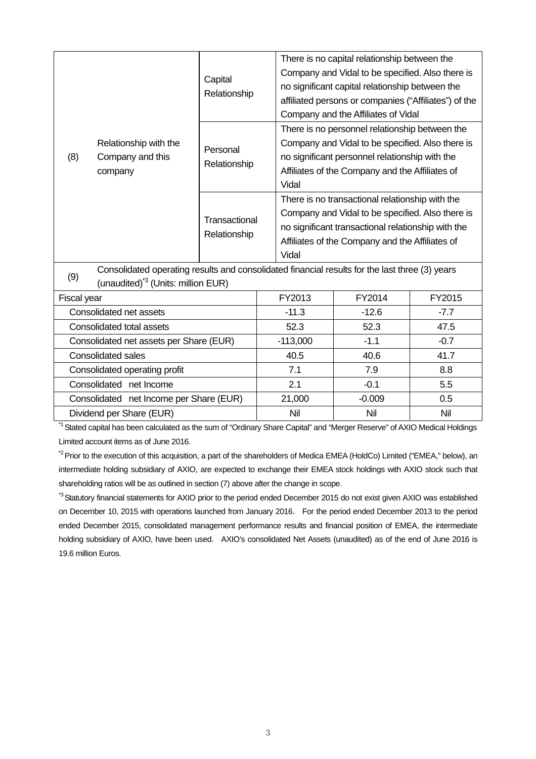|             | Relationship with the<br>Company and this<br>company                                                                                             | Capital<br>Relationship       | There is no capital relationship between the<br>Company and Vidal to be specified. Also there is<br>no significant capital relationship between the<br>affiliated persons or companies ("Affiliates") of the<br>Company and the Affiliates of Vidal |
|-------------|--------------------------------------------------------------------------------------------------------------------------------------------------|-------------------------------|-----------------------------------------------------------------------------------------------------------------------------------------------------------------------------------------------------------------------------------------------------|
| (8)         |                                                                                                                                                  | Personal<br>Relationship      | There is no personnel relationship between the<br>Company and Vidal to be specified. Also there is<br>no significant personnel relationship with the<br>Affiliates of the Company and the Affiliates of<br>Vidal                                    |
|             |                                                                                                                                                  | Transactional<br>Relationship | There is no transactional relationship with the<br>Company and Vidal to be specified. Also there is<br>no significant transactional relationship with the<br>Affiliates of the Company and the Affiliates of<br>Vidal                               |
| (9)         | Consolidated operating results and consolidated financial results for the last three (3) years<br>(unaudited) <sup>*3</sup> (Units: million EUR) |                               |                                                                                                                                                                                                                                                     |
| Fiscal vear |                                                                                                                                                  |                               | <b>EV2013</b><br>EY2014<br><b>EV2015</b>                                                                                                                                                                                                            |

| Fiscal year                             | FY2013     | FY2014   | FY2015 |
|-----------------------------------------|------------|----------|--------|
| Consolidated net assets                 | $-11.3$    | $-12.6$  | $-7.7$ |
| Consolidated total assets               | 52.3       | 52.3     | 47.5   |
| Consolidated net assets per Share (EUR) | $-113,000$ | $-1.1$   | $-0.7$ |
| <b>Consolidated sales</b>               | 40.5       | 40.6     | 41.7   |
| Consolidated operating profit           | 7.1        | 7.9      | 8.8    |
| Consolidated net Income                 | 2.1        | $-0.1$   | 5.5    |
| Consolidated net Income per Share (EUR) | 21,000     | $-0.009$ | 0.5    |
| Dividend per Share (EUR)                | Nil        | Nil      | Nil    |

<sup>\*1</sup> Stated capital has been calculated as the sum of "Ordinary Share Capital" and "Merger Reserve" of AXIO Medical Holdings Limited account items as of June 2016.

<sup>\*2</sup> Prior to the execution of this acquisition, a part of the shareholders of Medica EMEA (HoldCo) Limited ("EMEA," below), an intermediate holding subsidiary of AXIO, are expected to exchange their EMEA stock holdings with AXIO stock such that shareholding ratios will be as outlined in section (7) above after the change in scope.

\*<sup>3</sup> Statutory financial statements for AXIO prior to the period ended December 2015 do not exist given AXIO was established on December 10, 2015 with operations launched from January 2016. For the period ended December 2013 to the period ended December 2015, consolidated management performance results and financial position of EMEA, the intermediate holding subsidiary of AXIO, have been used. AXIO's consolidated Net Assets (unaudited) as of the end of June 2016 is 19.6 million Euros.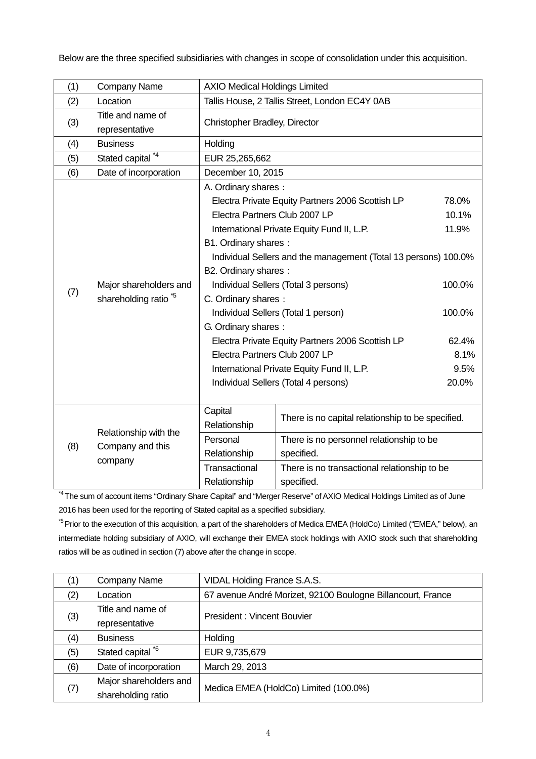Below are the three specified subsidiaries with changes in scope of consolidation under this acquisition.

| (1) | <b>Company Name</b>                                       | <b>AXIO Medical Holdings Limited</b>                                                                                                                                                                                                                                                                                                                                                                                                                                                                                                                                              |                                                                                                                                                                           |                                                                               |
|-----|-----------------------------------------------------------|-----------------------------------------------------------------------------------------------------------------------------------------------------------------------------------------------------------------------------------------------------------------------------------------------------------------------------------------------------------------------------------------------------------------------------------------------------------------------------------------------------------------------------------------------------------------------------------|---------------------------------------------------------------------------------------------------------------------------------------------------------------------------|-------------------------------------------------------------------------------|
| (2) | Location                                                  | Tallis House, 2 Tallis Street, London EC4Y 0AB                                                                                                                                                                                                                                                                                                                                                                                                                                                                                                                                    |                                                                                                                                                                           |                                                                               |
| (3) | Title and name of<br>representative                       | Christopher Bradley, Director                                                                                                                                                                                                                                                                                                                                                                                                                                                                                                                                                     |                                                                                                                                                                           |                                                                               |
| (4) | <b>Business</b>                                           | Holding                                                                                                                                                                                                                                                                                                                                                                                                                                                                                                                                                                           |                                                                                                                                                                           |                                                                               |
| (5) | Stated capital <sup>*4</sup>                              | EUR 25,265,662                                                                                                                                                                                                                                                                                                                                                                                                                                                                                                                                                                    |                                                                                                                                                                           |                                                                               |
| (6) | Date of incorporation                                     | December 10, 2015                                                                                                                                                                                                                                                                                                                                                                                                                                                                                                                                                                 |                                                                                                                                                                           |                                                                               |
| (7) | Major shareholders and<br>shareholding ratio <sup>5</sup> | A. Ordinary shares:<br>Electra Private Equity Partners 2006 Scottish LP<br>Electra Partners Club 2007 LP<br>International Private Equity Fund II, L.P.<br>B1. Ordinary shares:<br>Individual Sellers and the management (Total 13 persons) 100.0%<br>B2. Ordinary shares:<br>Individual Sellers (Total 3 persons)<br>C. Ordinary shares:<br>Individual Sellers (Total 1 person)<br>G. Ordinary shares:<br>Electra Private Equity Partners 2006 Scottish LP<br>Electra Partners Club 2007 LP<br>International Private Equity Fund II, L.P.<br>Individual Sellers (Total 4 persons) |                                                                                                                                                                           | 78.0%<br>10.1%<br>11.9%<br>100.0%<br>100.0%<br>62.4%<br>8.1%<br>9.5%<br>20.0% |
| (8) | Relationship with the<br>Company and this<br>company      | Capital<br>Relationship<br>Personal<br>Relationship<br>Transactional<br>Relationship                                                                                                                                                                                                                                                                                                                                                                                                                                                                                              | There is no capital relationship to be specified.<br>There is no personnel relationship to be<br>specified.<br>There is no transactional relationship to be<br>specified. |                                                                               |

<sup>\*4</sup> The sum of account items "Ordinary Share Capital" and "Merger Reserve" of AXIO Medical Holdings Limited as of June 2016 has been used for the reporting of Stated capital as a specified subsidiary.

<sup>\*5</sup> Prior to the execution of this acquisition, a part of the shareholders of Medica EMEA (HoldCo) Limited ("EMEA," below), an intermediate holding subsidiary of AXIO, will exchange their EMEA stock holdings with AXIO stock such that shareholding ratios will be as outlined in section (7) above after the change in scope.

| (1) | <b>Company Name</b>    | VIDAL Holding France S.A.S.                                 |  |
|-----|------------------------|-------------------------------------------------------------|--|
| (2) | Location               | 67 avenue André Morizet, 92100 Boulogne Billancourt, France |  |
|     | Title and name of      | <b>President: Vincent Bouvier</b>                           |  |
| (3) | representative         |                                                             |  |
| (4) | <b>Business</b>        | Holding                                                     |  |
| (5) | Stated capital *6      | EUR 9,735,679                                               |  |
| (6) | Date of incorporation  | March 29, 2013                                              |  |
| (7) | Major shareholders and |                                                             |  |
|     | shareholding ratio     | Medica EMEA (HoldCo) Limited (100.0%)                       |  |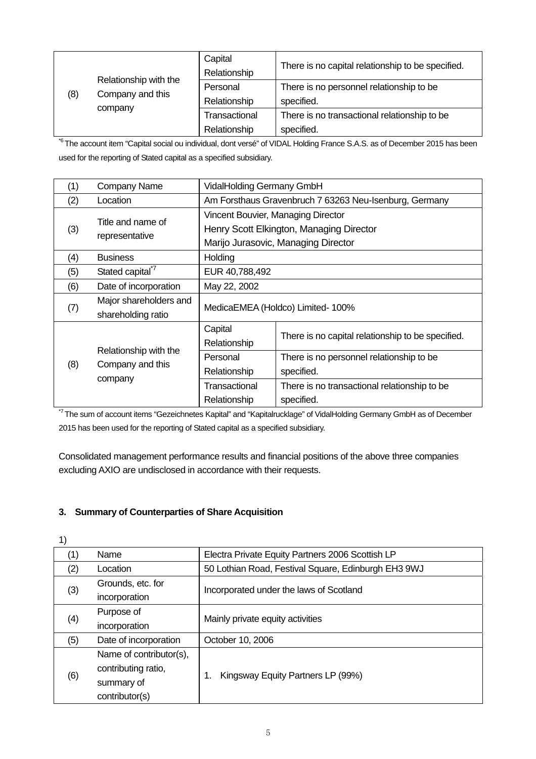| (8) | Relationship with the<br>Company and this<br>company | Capital<br>Relationship | There is no capital relationship to be specified. |
|-----|------------------------------------------------------|-------------------------|---------------------------------------------------|
|     |                                                      | Personal                | There is no personnel relationship to be          |
|     |                                                      | Relationship            | specified.                                        |
|     |                                                      | Transactional           | There is no transactional relationship to be      |
|     |                                                      | Relationship            | specified.                                        |

<sup>\*6</sup> The account item "Capital social ou individual, dont versé" of VIDAL Holding France S.A.S. as of December 2015 has been used for the reporting of Stated capital as a specified subsidiary.

| (1) | Company Name                                         |                                    | VidalHolding Germany GmbH                                                       |  |
|-----|------------------------------------------------------|------------------------------------|---------------------------------------------------------------------------------|--|
| (2) | Location                                             |                                    | Am Forsthaus Gravenbruch 7 63263 Neu-Isenburg, Germany                          |  |
| (3) | Title and name of<br>representative                  | Vincent Bouvier, Managing Director | Henry Scott Elkington, Managing Director<br>Marijo Jurasovic, Managing Director |  |
| (4) | <b>Business</b>                                      | Holding                            |                                                                                 |  |
| (5) | Stated capital <sup>*7</sup>                         | EUR 40,788,492                     |                                                                                 |  |
| (6) | Date of incorporation                                | May 22, 2002                       |                                                                                 |  |
| (7) | Major shareholders and<br>shareholding ratio         |                                    | MedicaEMEA (Holdco) Limited- 100%                                               |  |
|     | Relationship with the<br>Company and this<br>company | Capital<br>Relationship            | There is no capital relationship to be specified.                               |  |
| (8) |                                                      | Personal<br>Relationship           | There is no personnel relationship to be<br>specified.                          |  |
|     |                                                      | Transactional<br>Relationship      | There is no transactional relationship to be<br>specified.                      |  |

<sup>\*7</sup> The sum of account items "Gezeichnetes Kapital" and "Kapitalrucklage" of VidalHolding Germany GmbH as of December 2015 has been used for the reporting of Stated capital as a specified subsidiary.

Consolidated management performance results and financial positions of the above three companies excluding AXIO are undisclosed in accordance with their requests.

#### **3. Summary of Counterparties of Share Acquisition**

| 1)  |                                                                                |                                                     |
|-----|--------------------------------------------------------------------------------|-----------------------------------------------------|
| (1) | Name                                                                           | Electra Private Equity Partners 2006 Scottish LP    |
| (2) | Location                                                                       | 50 Lothian Road, Festival Square, Edinburgh EH3 9WJ |
| (3) | Grounds, etc. for<br>incorporation                                             | Incorporated under the laws of Scotland             |
| (4) | Purpose of<br>incorporation                                                    | Mainly private equity activities                    |
| (5) | Date of incorporation                                                          | October 10, 2006                                    |
| (6) | Name of contributor(s),<br>contributing ratio,<br>summary of<br>contributor(s) | Kingsway Equity Partners LP (99%)                   |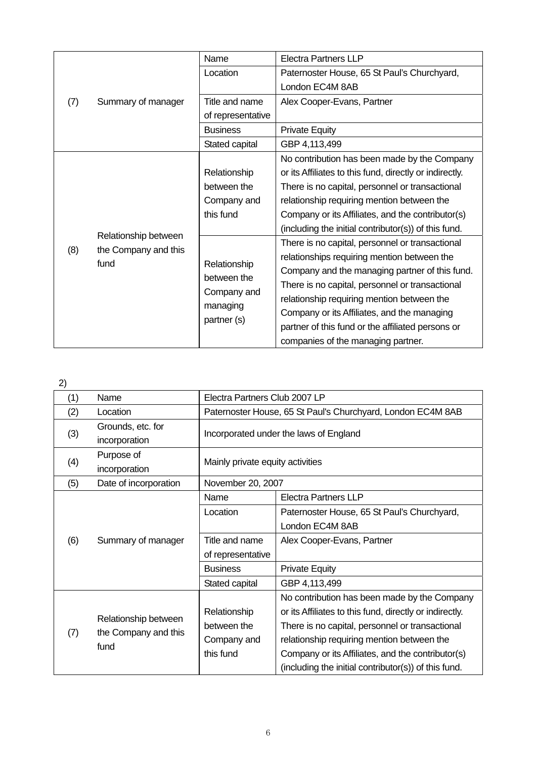|     | Summary of manager                                   | Name                        | <b>Electra Partners LLP</b>                             |
|-----|------------------------------------------------------|-----------------------------|---------------------------------------------------------|
|     |                                                      | Location                    | Paternoster House, 65 St Paul's Churchyard,             |
|     |                                                      |                             | London EC4M 8AB                                         |
| (7) |                                                      | Title and name              | Alex Cooper-Evans, Partner                              |
|     |                                                      | of representative           |                                                         |
|     |                                                      | <b>Business</b>             | <b>Private Equity</b>                                   |
|     |                                                      | Stated capital              | GBP 4,113,499                                           |
|     |                                                      |                             | No contribution has been made by the Company            |
|     |                                                      | Relationship                | or its Affiliates to this fund, directly or indirectly. |
|     |                                                      | between the                 | There is no capital, personnel or transactional         |
|     |                                                      | Company and                 | relationship requiring mention between the              |
|     | Relationship between<br>the Company and this<br>fund | this fund                   | Company or its Affiliates, and the contributor(s)       |
|     |                                                      |                             | (including the initial contributor(s)) of this fund.    |
|     |                                                      |                             | There is no capital, personnel or transactional         |
| (8) |                                                      | Relationship<br>between the | relationships requiring mention between the             |
|     |                                                      |                             | Company and the managing partner of this fund.          |
|     |                                                      |                             | There is no capital, personnel or transactional         |
|     |                                                      | Company and                 | relationship requiring mention between the              |
|     |                                                      | managing                    | Company or its Affiliates, and the managing             |
|     |                                                      | partner (s)                 | partner of this fund or the affiliated persons or       |
|     |                                                      |                             | companies of the managing partner.                      |

2)

| (1) | Name                  | Electra Partners Club 2007 LP                               |                                                         |  |
|-----|-----------------------|-------------------------------------------------------------|---------------------------------------------------------|--|
| (2) | Location              | Paternoster House, 65 St Paul's Churchyard, London EC4M 8AB |                                                         |  |
|     | Grounds, etc. for     |                                                             |                                                         |  |
| (3) | incorporation         | Incorporated under the laws of England                      |                                                         |  |
| (4) | Purpose of            |                                                             | Mainly private equity activities                        |  |
|     | incorporation         |                                                             |                                                         |  |
| (5) | Date of incorporation | November 20, 2007                                           |                                                         |  |
|     |                       | Name                                                        | <b>Electra Partners LLP</b>                             |  |
|     |                       | Location                                                    | Paternoster House, 65 St Paul's Churchyard,             |  |
|     |                       |                                                             | London EC4M 8AB                                         |  |
| (6) | Summary of manager    | Title and name                                              | Alex Cooper-Evans, Partner                              |  |
|     |                       | of representative                                           |                                                         |  |
|     |                       | <b>Business</b>                                             | <b>Private Equity</b>                                   |  |
|     |                       | Stated capital                                              | GBP 4,113,499                                           |  |
|     |                       |                                                             | No contribution has been made by the Company            |  |
|     | Relationship between  | Relationship                                                | or its Affiliates to this fund, directly or indirectly. |  |
|     |                       | between the                                                 | There is no capital, personnel or transactional         |  |
| (7) | the Company and this  | Company and                                                 | relationship requiring mention between the              |  |
|     | fund                  | this fund                                                   | Company or its Affiliates, and the contributor(s)       |  |
|     |                       |                                                             | (including the initial contributor(s)) of this fund.    |  |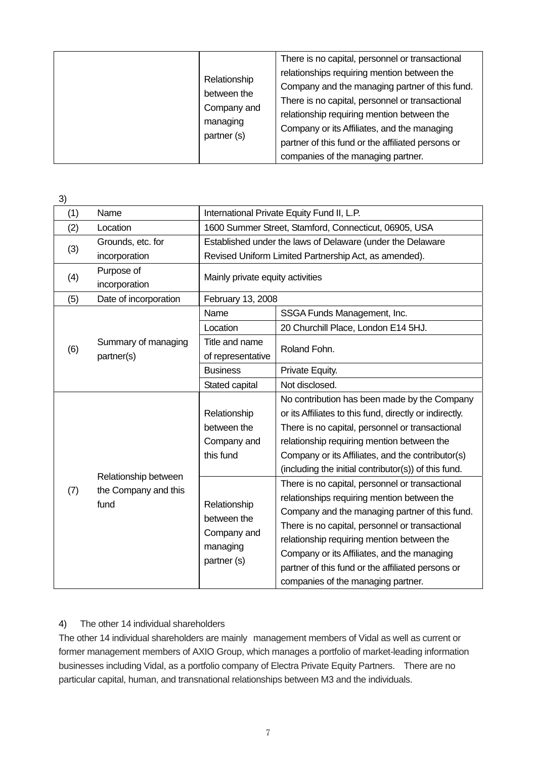| Relationship<br>between the<br>Company and<br>managing<br>partner (s) | There is no capital, personnel or transactional<br>relationships requiring mention between the<br>Company and the managing partner of this fund.<br>There is no capital, personnel or transactional<br>relationship requiring mention between the<br>Company or its Affiliates, and the managing<br>partner of this fund or the affiliated persons or<br>companies of the managing partner. |
|-----------------------------------------------------------------------|---------------------------------------------------------------------------------------------------------------------------------------------------------------------------------------------------------------------------------------------------------------------------------------------------------------------------------------------------------------------------------------------|
|-----------------------------------------------------------------------|---------------------------------------------------------------------------------------------------------------------------------------------------------------------------------------------------------------------------------------------------------------------------------------------------------------------------------------------------------------------------------------------|

| 3)  |                                                      |                                                                       |                                                                                                                                                                                                                                                                                                                                                       |
|-----|------------------------------------------------------|-----------------------------------------------------------------------|-------------------------------------------------------------------------------------------------------------------------------------------------------------------------------------------------------------------------------------------------------------------------------------------------------------------------------------------------------|
| (1) | Name                                                 | International Private Equity Fund II, L.P.                            |                                                                                                                                                                                                                                                                                                                                                       |
| (2) | Location                                             | 1600 Summer Street, Stamford, Connecticut, 06905, USA                 |                                                                                                                                                                                                                                                                                                                                                       |
|     | Grounds, etc. for                                    | Established under the laws of Delaware (under the Delaware            |                                                                                                                                                                                                                                                                                                                                                       |
| (3) | incorporation                                        |                                                                       | Revised Uniform Limited Partnership Act, as amended).                                                                                                                                                                                                                                                                                                 |
| (4) | Purpose of<br>incorporation                          | Mainly private equity activities                                      |                                                                                                                                                                                                                                                                                                                                                       |
| (5) | Date of incorporation                                | February 13, 2008                                                     |                                                                                                                                                                                                                                                                                                                                                       |
|     |                                                      | Name                                                                  | SSGA Funds Management, Inc.                                                                                                                                                                                                                                                                                                                           |
|     |                                                      | Location                                                              | 20 Churchill Place, London E14 5HJ.                                                                                                                                                                                                                                                                                                                   |
| (6) | Summary of managing<br>partner(s)                    | Title and name<br>of representative                                   | Roland Fohn.                                                                                                                                                                                                                                                                                                                                          |
|     |                                                      | <b>Business</b>                                                       | Private Equity.                                                                                                                                                                                                                                                                                                                                       |
|     |                                                      | Stated capital                                                        | Not disclosed.                                                                                                                                                                                                                                                                                                                                        |
|     |                                                      | Relationship                                                          | No contribution has been made by the Company<br>or its Affiliates to this fund, directly or indirectly.                                                                                                                                                                                                                                               |
|     |                                                      | between the                                                           | There is no capital, personnel or transactional                                                                                                                                                                                                                                                                                                       |
|     |                                                      | Company and                                                           | relationship requiring mention between the                                                                                                                                                                                                                                                                                                            |
|     |                                                      | this fund                                                             | Company or its Affiliates, and the contributor(s)                                                                                                                                                                                                                                                                                                     |
|     |                                                      |                                                                       | (including the initial contributor(s)) of this fund.                                                                                                                                                                                                                                                                                                  |
| (7) | Relationship between<br>the Company and this<br>fund | Relationship<br>between the<br>Company and<br>managing<br>partner (s) | There is no capital, personnel or transactional<br>relationships requiring mention between the<br>Company and the managing partner of this fund.<br>There is no capital, personnel or transactional<br>relationship requiring mention between the<br>Company or its Affiliates, and the managing<br>partner of this fund or the affiliated persons or |
|     |                                                      |                                                                       | companies of the managing partner.                                                                                                                                                                                                                                                                                                                    |

#### 4) The other 14 individual shareholders

The other 14 individual shareholders are mainly management members of Vidal as well as current or former management members of AXIO Group, which manages a portfolio of market-leading information businesses including Vidal, as a portfolio company of Electra Private Equity Partners. There are no particular capital, human, and transnational relationships between M3 and the individuals.